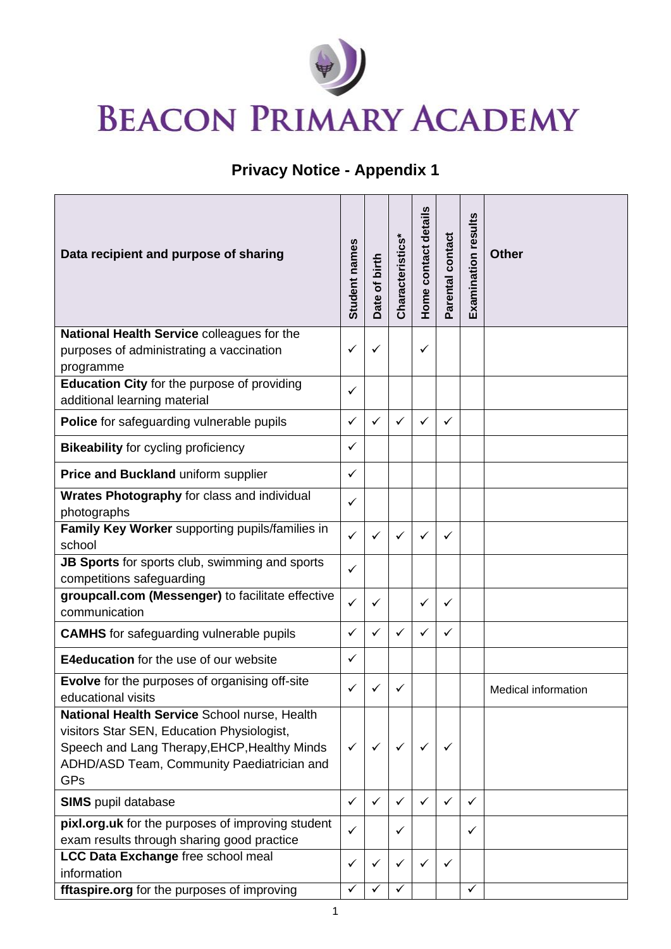

## **Privacy Notice - Appendix 1**

| Data recipient and purpose of sharing                                                                                                                                                                  | Student names | Date of birth | Characteristics* | Home contact details | Parental contact | <b>Examination results</b> | <b>Other</b>               |
|--------------------------------------------------------------------------------------------------------------------------------------------------------------------------------------------------------|---------------|---------------|------------------|----------------------|------------------|----------------------------|----------------------------|
| National Health Service colleagues for the<br>purposes of administrating a vaccination                                                                                                                 | ✓             | ✓             |                  | $\checkmark$         |                  |                            |                            |
| programme<br><b>Education City for the purpose of providing</b><br>additional learning material                                                                                                        | ✓             |               |                  |                      |                  |                            |                            |
| Police for safeguarding vulnerable pupils                                                                                                                                                              | ✓             | $\checkmark$  | $\checkmark$     | $\checkmark$         | $\checkmark$     |                            |                            |
| <b>Bikeability for cycling proficiency</b>                                                                                                                                                             | ✓             |               |                  |                      |                  |                            |                            |
| Price and Buckland uniform supplier                                                                                                                                                                    | ✓             |               |                  |                      |                  |                            |                            |
| Wrates Photography for class and individual<br>photographs                                                                                                                                             | ✓             |               |                  |                      |                  |                            |                            |
| Family Key Worker supporting pupils/families in<br>school                                                                                                                                              | ✓             | ✓             | $\checkmark$     | ✓                    | ✓                |                            |                            |
| JB Sports for sports club, swimming and sports<br>competitions safeguarding                                                                                                                            | ✓             |               |                  |                      |                  |                            |                            |
| groupcall.com (Messenger) to facilitate effective<br>communication                                                                                                                                     | ✓             | ✓             |                  | ✓                    | ✓                |                            |                            |
| <b>CAMHS</b> for safeguarding vulnerable pupils                                                                                                                                                        | ✓             | ✓             | ✓                | ✓                    | ✓                |                            |                            |
| <b>E4education</b> for the use of our website                                                                                                                                                          | ✓             |               |                  |                      |                  |                            |                            |
| <b>Evolve</b> for the purposes of organising off-site<br>educational visits                                                                                                                            |               |               |                  |                      |                  |                            | <b>Medical information</b> |
| National Health Service School nurse, Health<br>visitors Star SEN, Education Physiologist,<br>Speech and Lang Therapy, EHCP, Healthy Minds<br>ADHD/ASD Team, Community Paediatrician and<br><b>GPs</b> | $\checkmark$  |               | ✓                | ✓                    |                  |                            |                            |
| <b>SIMS</b> pupil database                                                                                                                                                                             | ✓             | ✓             | ✓                | ✓                    | ✓                | $\checkmark$               |                            |
| pixl.org.uk for the purposes of improving student<br>exam results through sharing good practice                                                                                                        | ✓             |               | ✓                |                      |                  | ✓                          |                            |
| LCC Data Exchange free school meal                                                                                                                                                                     | ✓             | ✓             | ✓                | ✓                    | ✓                |                            |                            |
| information                                                                                                                                                                                            |               |               |                  |                      |                  |                            |                            |
| fftaspire.org for the purposes of improving                                                                                                                                                            |               |               |                  |                      |                  | ✓                          |                            |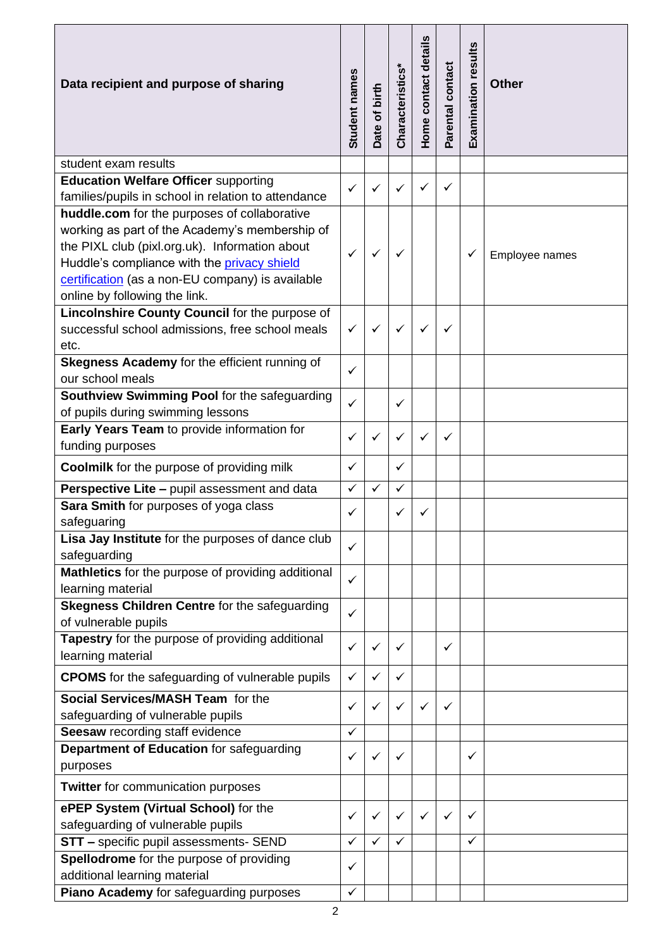| Data recipient and purpose of sharing                                                                                                                                                                                                       | Student names | Date of birth | Characteristics* | Home contact details | Parental contact | <b>Examination results</b> | <b>Other</b>   |
|---------------------------------------------------------------------------------------------------------------------------------------------------------------------------------------------------------------------------------------------|---------------|---------------|------------------|----------------------|------------------|----------------------------|----------------|
| student exam results                                                                                                                                                                                                                        |               |               |                  |                      |                  |                            |                |
| <b>Education Welfare Officer supporting</b>                                                                                                                                                                                                 |               |               |                  |                      |                  |                            |                |
| families/pupils in school in relation to attendance                                                                                                                                                                                         | ✓             |               |                  | ✓                    | ✓                |                            |                |
| huddle.com for the purposes of collaborative                                                                                                                                                                                                |               |               |                  |                      |                  |                            |                |
| working as part of the Academy's membership of<br>the PIXL club (pixl.org.uk). Information about<br>Huddle's compliance with the <b>privacy shield</b><br>certification (as a non-EU company) is available<br>online by following the link. | ✓             |               | ✓                |                      |                  | ✓                          | Employee names |
| Lincolnshire County Council for the purpose of                                                                                                                                                                                              |               |               |                  |                      |                  |                            |                |
| successful school admissions, free school meals                                                                                                                                                                                             | ✓             |               | ✓                | ✓                    | ✓                |                            |                |
| etc.                                                                                                                                                                                                                                        |               |               |                  |                      |                  |                            |                |
| Skegness Academy for the efficient running of                                                                                                                                                                                               |               |               |                  |                      |                  |                            |                |
| our school meals                                                                                                                                                                                                                            | ✓             |               |                  |                      |                  |                            |                |
| Southview Swimming Pool for the safeguarding<br>of pupils during swimming lessons                                                                                                                                                           | ✓             |               | $\checkmark$     |                      |                  |                            |                |
| Early Years Team to provide information for                                                                                                                                                                                                 |               |               |                  |                      |                  |                            |                |
| funding purposes                                                                                                                                                                                                                            | ✓             | ✓             | ✓                | ✓                    | ✓                |                            |                |
| <b>Coolmilk</b> for the purpose of providing milk                                                                                                                                                                                           | ✓             |               | ✓                |                      |                  |                            |                |
| Perspective Lite - pupil assessment and data                                                                                                                                                                                                | ✓             | ✓             | ✓                |                      |                  |                            |                |
| Sara Smith for purposes of yoga class<br>safeguaring                                                                                                                                                                                        | ✓             |               |                  | ✓                    |                  |                            |                |
| Lisa Jay Institute for the purposes of dance club<br>safeguarding                                                                                                                                                                           | ✓             |               |                  |                      |                  |                            |                |
| Mathletics for the purpose of providing additional                                                                                                                                                                                          |               |               |                  |                      |                  |                            |                |
| learning material                                                                                                                                                                                                                           | ✓             |               |                  |                      |                  |                            |                |
| Skegness Children Centre for the safeguarding                                                                                                                                                                                               |               |               |                  |                      |                  |                            |                |
| of vulnerable pupils                                                                                                                                                                                                                        | ✓             |               |                  |                      |                  |                            |                |
| Tapestry for the purpose of providing additional                                                                                                                                                                                            |               |               |                  |                      |                  |                            |                |
| learning material                                                                                                                                                                                                                           | ✓             | ✓             | ✓                |                      | ✓                |                            |                |
| <b>CPOMS</b> for the safeguarding of vulnerable pupils                                                                                                                                                                                      | $\checkmark$  | $\checkmark$  | ✓                |                      |                  |                            |                |
| Social Services/MASH Team for the                                                                                                                                                                                                           |               |               |                  |                      |                  |                            |                |
| safeguarding of vulnerable pupils                                                                                                                                                                                                           | ✓             |               | ✓                | ✓                    | ✓                |                            |                |
| Seesaw recording staff evidence                                                                                                                                                                                                             | $\checkmark$  |               |                  |                      |                  |                            |                |
| Department of Education for safeguarding                                                                                                                                                                                                    | ✓             |               | ✓                |                      |                  | ✓                          |                |
| purposes                                                                                                                                                                                                                                    |               |               |                  |                      |                  |                            |                |
| <b>Twitter</b> for communication purposes                                                                                                                                                                                                   |               |               |                  |                      |                  |                            |                |
| ePEP System (Virtual School) for the                                                                                                                                                                                                        | ✓             | ✓             | ✓                | ✓                    | ✓                | ✓                          |                |
| safeguarding of vulnerable pupils                                                                                                                                                                                                           |               |               |                  |                      |                  |                            |                |
| STT - specific pupil assessments- SEND                                                                                                                                                                                                      | ✓             | ✓             | ✓                |                      |                  | ✓                          |                |
| Spellodrome for the purpose of providing                                                                                                                                                                                                    | ✓             |               |                  |                      |                  |                            |                |
| additional learning material                                                                                                                                                                                                                |               |               |                  |                      |                  |                            |                |
| Piano Academy for safeguarding purposes                                                                                                                                                                                                     | $\checkmark$  |               |                  |                      |                  |                            |                |